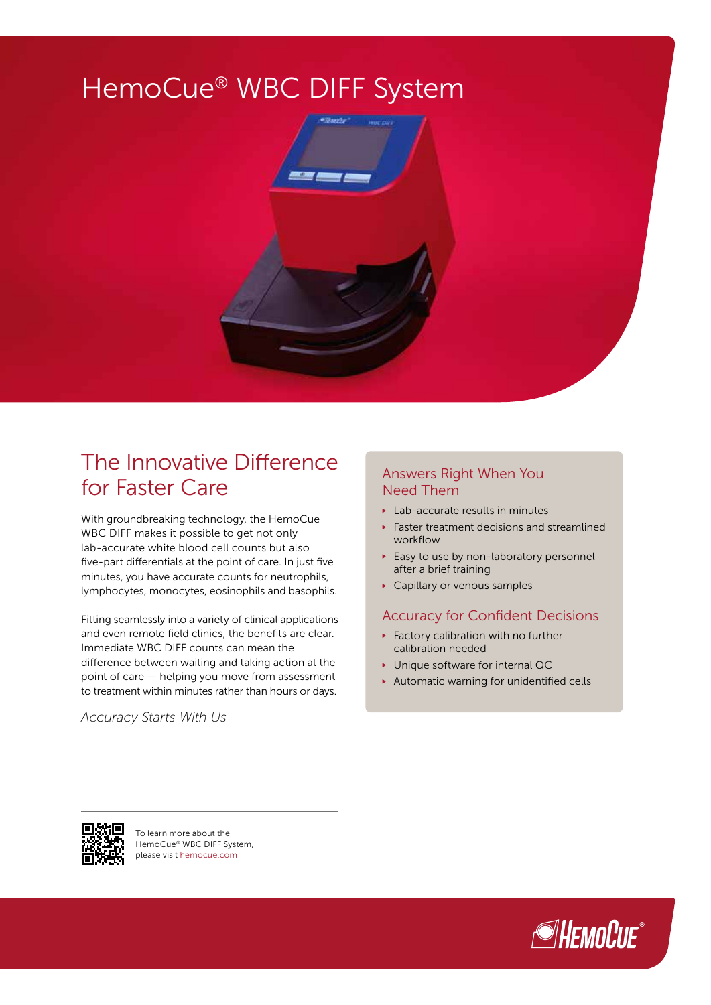

# The Innovative Difference for Faster Care

With groundbreaking technology, the HemoCue WBC DIFF makes it possible to get not only lab-accurate white blood cell counts but also five-part differentials at the point of care. In just five minutes, you have accurate counts for neutrophils, lymphocytes, monocytes, eosinophils and basophils.

Fitting seamlessly into a variety of clinical applications and even remote field clinics, the benefits are clear. Immediate WBC DIFF counts can mean the difference between waiting and taking action at the point of care — helping you move from assessment to treatment within minutes rather than hours or days.

*Accuracy Starts With Us*

### Answers Right When You Need Them

- ▶ Lab-accurate results in minutes
- Faster treatment decisions and streamlined workflow
- Easy to use by non-laboratory personnel after a brief training
- ▶ Capillary or venous samples

#### Accuracy for Confident Decisions

- Factory calibration with no further calibration needed
- ▶ Unique software for internal QC
- Automatic warning for unidentified cells



To learn more about the HemoCue® WBC DIFF System, please visit hemocue.com